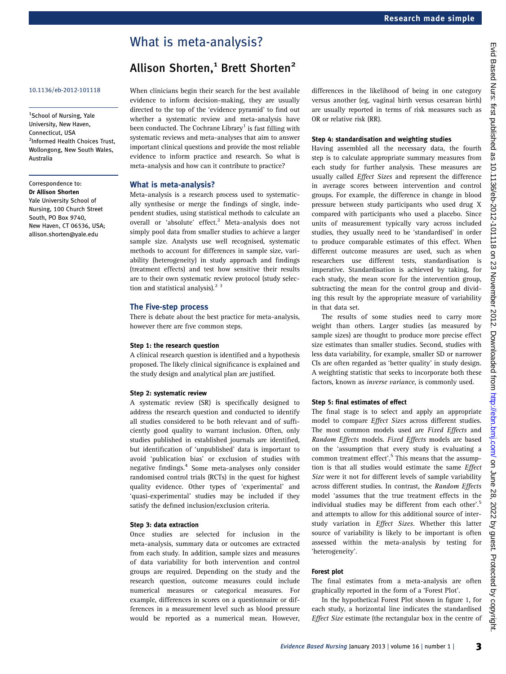# What is meta-analysis?

# Allison Shorten.<sup>1</sup> Brett Shorten<sup>2</sup>

# 10.1136/eb-2012-101118

<sup>1</sup>School of Nursing, Yale University, New Haven, Connecticut, USA <sup>2</sup>Informed Health Choices Trust, Wollongong, New South Wales, Australia

Correspondence to: Dr Allison Shorten Yale University School of Nursing, 100 Church Street South, PO Box 9740, New Haven, CT 06536, USA; allison.shorten@yale.edu

When clinicians begin their search for the best available evidence to inform decision-making, they are usually directed to the top of the 'evidence pyramid' to find out whether a systematic review and meta-analysis have been conducted. The Cochrane Library<sup>1</sup> is fast filling with systematic reviews and meta-analyses that aim to answer important clinical questions and provide the most reliable evidence to inform practice and research. So what is meta-analysis and how can it contribute to practice?

# What is meta-analysis?

Meta-analysis is a research process used to systematically synthesise or merge the findings of single, independent studies, using statistical methods to calculate an overall or 'absolute' effect.<sup>2</sup> Meta-analysis does not simply pool data from smaller studies to achieve a larger sample size. Analysts use well recognised, systematic methods to account for differences in sample size, variability (heterogeneity) in study approach and findings (treatment effects) and test how sensitive their results are to their own systematic review protocol (study selection and statistical analysis). $2<sup>3</sup>$ 

# The Five-step process

There is debate about the best practice for meta-analysis, however there are five common steps.

# Step 1: the research question

A clinical research question is identified and a hypothesis proposed. The likely clinical significance is explained and the study design and analytical plan are justified.

# Step 2: systematic review

A systematic review (SR) is specifically designed to address the research question and conducted to identify all studies considered to be both relevant and of sufficiently good quality to warrant inclusion. Often, only studies published in established journals are identified, but identification of 'unpublished' data is important to avoid 'publication bias' or exclusion of studies with negative findings.<sup>4</sup> Some meta-analyses only consider randomised control trials (RCTs) in the quest for highest quality evidence. Other types of 'experimental' and 'quasi-experimental' studies may be included if they satisfy the defined inclusion/exclusion criteria.

#### Step 3: data extraction

Once studies are selected for inclusion in the meta-analysis, summary data or outcomes are extracted from each study. In addition, sample sizes and measures of data variability for both intervention and control groups are required. Depending on the study and the research question, outcome measures could include numerical measures or categorical measures. For example, differences in scores on a questionnaire or differences in a measurement level such as blood pressure would be reported as a numerical mean. However,

differences in the likelihood of being in one category versus another (eg, vaginal birth versus cesarean birth) are usually reported in terms of risk measures such as OR or relative risk (RR).

## Step 4: standardisation and weighting studies

Having assembled all the necessary data, the fourth step is to calculate appropriate summary measures from each study for further analysis. These measures are usually called Effect Sizes and represent the difference in average scores between intervention and control groups. For example, the difference in change in blood pressure between study participants who used drug X compared with participants who used a placebo. Since units of measurement typically vary across included studies, they usually need to be 'standardised' in order to produce comparable estimates of this effect. When different outcome measures are used, such as when researchers use different tests, standardisation is imperative. Standardisation is achieved by taking, for each study, the mean score for the intervention group, subtracting the mean for the control group and dividing this result by the appropriate measure of variability in that data set.

The results of some studies need to carry more weight than others. Larger studies (as measured by sample sizes) are thought to produce more precise effect size estimates than smaller studies. Second, studies with less data variability, for example, smaller SD or narrower CIs are often regarded as 'better quality' in study design. A weighting statistic that seeks to incorporate both these factors, known as inverse variance, is commonly used.

# Step 5: final estimates of effect

The final stage is to select and apply an appropriate model to compare Effect Sizes across different studies. The most common models used are Fixed Effects and Random Effects models. Fixed Effects models are based on the 'assumption that every study is evaluating a common treatment effect'. <sup>5</sup> This means that the assumption is that all studies would estimate the same Effect Size were it not for different levels of sample variability across different studies. In contrast, the Random Effects model 'assumes that the true treatment effects in the individual studies may be different from each other'.<sup>5</sup> and attempts to allow for this additional source of interstudy variation in Effect Sizes. Whether this latter source of variability is likely to be important is often assessed within the meta-analysis by testing for 'heterogeneity'.

## Forest plot

The final estimates from a meta-analysis are often graphically reported in the form of a 'Forest Plot'.

In the hypothetical Forest Plot shown in figure 1, for each study, a horizontal line indicates the standardised Effect Size estimate (the rectangular box in the centre of